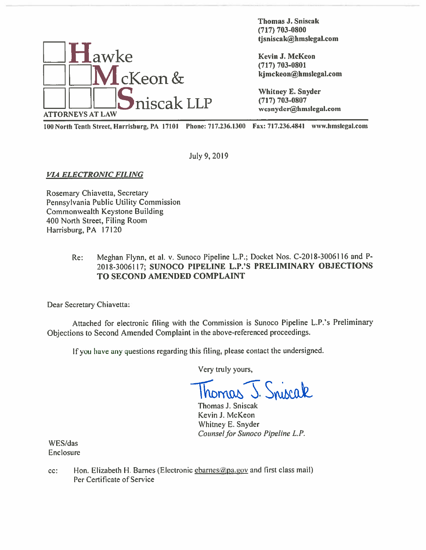

Thomas J. Sniscak (717) 703-0800 thomas J. Sniscak<br>Thomas J. Sniscak<br>(717) 703-0800<br>tjsniscak@hmslegal.com

<sup>100</sup> North Tenth Street, Harrisburg, PA 17101 Phone: 717.236.1301) Fax: 717.236.1811 www.hmsIegal.com

July 9,2019

VIA ELECTRONIC FILING

Rosemary Chiavetta, Secretary Pennsylvania Public Utility Commission Commonwealth Keystone Building 400 North Street, Filing Room Harrisburg, PA 17120

### Re: Meghan Flynn, et al. v. Sunoco Pipeline L.P.; Docket Nos. C-2018-30061 <sup>16</sup> and <sup>P</sup> 2018-3006117; SUNOCO PEPELINE L.P.'S PRELIMINARY OBJECTIONS TO SECOND AMENDED COMPLAINT

Dear Secretary Chiavetta:

Attached for electronic filing with the Commission is Sunoco Pipeline L.P.'s Preliminary Objections to Second Amended Complaint in the above-referenced proceedings.

If you have any questions regarding this filing, <sup>p</sup>lease contact the undersigned.

Very truly yours,

homas J. Sniscak

Thomas J. Sniscak Kevin J. McKeon Whitney E. Snyder Counsel for Sunoco Pipeline L.P.

WES/das Enclosure

cc: Hon. Elizabeth H. Barnes (Electronic charnes apparison and first class mail) Per Certificate of Service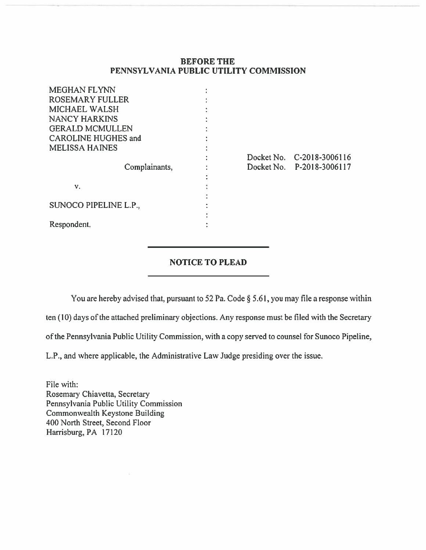## BEFORE THE PENNSYLVANIA PUBLIC UTILITY COMMISSION

| <b>MEGHAN FLYNN</b>        |            |                           |
|----------------------------|------------|---------------------------|
| <b>ROSEMARY FULLER</b>     |            |                           |
| <b>MICHAEL WALSH</b>       |            |                           |
| <b>NANCY HARKINS</b>       |            |                           |
| <b>GERALD MCMULLEN</b>     |            |                           |
| <b>CAROLINE HUGHES and</b> |            |                           |
| <b>MELISSA HAINES</b>      |            |                           |
|                            |            | Docket No. C-2018-3006116 |
| Complainants,              | Docket No. | P-2018-3006117            |
|                            |            |                           |
| v.                         |            |                           |
|                            |            |                           |
| SUNOCO PIPELINE L.P.,      |            |                           |
|                            |            |                           |
| Respondent.                |            |                           |

# NOTICE TO PLEAD

You are hereby advised that, pursuant to 52 Pa. Code § 5.61, you may file a response within

ten (10) days of the attached preliminary objections. Any response must be filed with the Secretary

ofthe Pennsylvania Public Utility Commission, with <sup>a</sup> copy served to counsel for Sunoco Pipeline,

L.P., and where applicable, the Administrative Law Judge presiding over the issue.

File with: Rosemary Chiavetta, Secretary Pennsylvania Public Utility Commission Commonwealth Keystone Building 400 North Street, Second Floor Harrisburg, PA 17120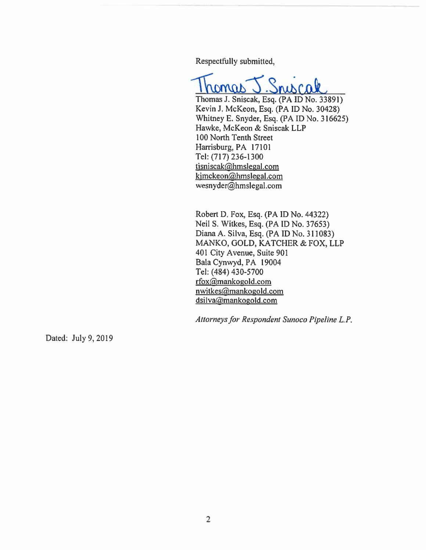Respectfully submitted,

Thomas J. Sniscak, Esq. (PA ID No. 33891)

Kevin J. McKeon, Esq. (PA ID No. 30428) Whitney E. Snyder, Esq. (PAID No. 316625) Hawke, MeKeon & Sniscak LLP 100 North Tenth Street Harrisburg, PA 17101 Tel: (717) 236-1300 tisniscak@hmslegal.com kjmckeon@hmslegal.com wesnyder@hmslegal.com

Robert D. Fox, Esq. (PA ID No. 44322) Neil S. Witkes, Esq. (PA ID No. 37653) Diana A. Silva, Esq. (PA ID No. 311083) MANKO. GOLD. KATCHER & FOX, LLP 401 City Avenue, Suite 901 Bala Cynwyd, PA 19004 Tel: (484) 430-5700 rfox@mankogold.com nwitkes@mankogold.com dsilva@mankogold.com

Attorneys for Respondent Sunoco Pipeline L.P.

Dated: July 9, 2019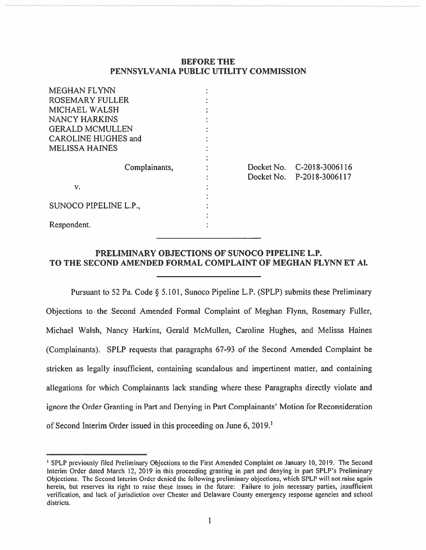### BEFORE THE PENNSYLVANIA PUBLIC UTILITY COMMISSION

| <b>MEGHAN FLYNN</b>        |            |                                             |
|----------------------------|------------|---------------------------------------------|
| <b>ROSEMARY FULLER</b>     |            |                                             |
| <b>MICHAEL WALSH</b>       |            |                                             |
| <b>NANCY HARKINS</b>       |            |                                             |
| <b>GERALD MCMULLEN</b>     |            |                                             |
| <b>CAROLINE HUGHES and</b> |            |                                             |
| <b>MELISSA HAINES</b>      |            |                                             |
| Complainants,              | Docket No. | Docket No. C-2018-3006116<br>P-2018-3006117 |
| v.                         |            |                                             |
| SUNOCO PIPELINE L.P.,      |            |                                             |
| Respondent.                |            |                                             |

# PRELIMINARY OBJECTIONS OF SUNOCO PIPELINE L.P. TO THE SECOND AMENDED FORMAL COMPLAINT OF MEGHAN FLYNN ET Al.

Pursuant to <sup>52</sup> Pa. Code § 5.101, Sunoco Pipeline L.P. (SPLP) submits these Preliminary Objections to the Second Amended Formal Complaint of Meghan Flynn, Rosemary Fuller, Michael Walsh, Nancy Harkins, Gerald McMullen, Caroline Hughes, and Melissa Haines (Complainants). SPLP requests that paragraphs 67-93 of the Second Amended Complaint be stricken as legally insufficient, containing scandalous and impertinent matter, and containing allegations for which Complainants lack standing where these Paragraphs directly violate and ignore the Order Granting in Part and Denying in Part Complainants' Motion for Reconsideration of Second Interim Order issued in this proceeding on June 6,2019.'

SPLP previously filed Preliminary Objections to the First Amended Complaint on January 10, 2019. The Second Interim Order dated March 12, 2019 in this proceeding granting in par<sup>t</sup> and denying in par<sup>t</sup> SPLP's Preliminary Objections. The Second Interim Order denied the following preliminary objections, which SPLP will not raise again herein, but reserves its right to raise these issues in the future: Failure to join necessary parties, insufficient verification, and lack of jurisdiction over Chester and Delaware County emergency response agencies and school districts.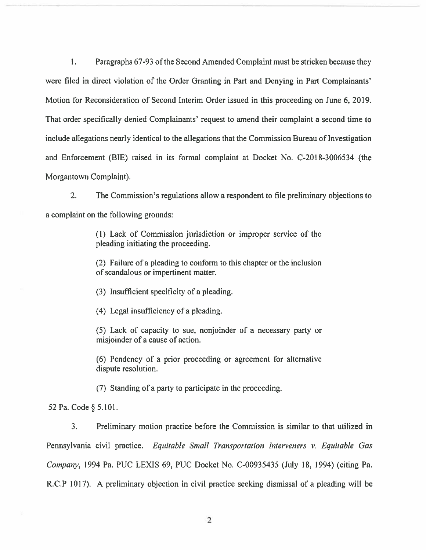1. Paragraphs 67-93 ofthe Second Amended Complaint must be stricken because they were filed in direct violation of the Order Granting in Part and Denying in Part Complainants' Motion for Reconsideration of Second Interim Order issued in this proceeding on June 6,2019. That order specifically denied Complainants' reques<sup>t</sup> to amend their complaint <sup>a</sup> second time to include allegations nearly identical to the allegations that the Commission Bureau of Investigation and Enforcement (BIE) raised in its formal complaint at Docket No. C-2018-3006534 (the Morgantown Complaint).

2. The Commission's regulations allow <sup>a</sup> respondent to file preliminary objections to <sup>a</sup> complaint on the following grounds:

> (1) Lack of Commission jurisdiction or improper service of the pleading initiating the proceeding.

> (2) Failure of <sup>a</sup> pleading to conform to this chapter or the inclusion of scandalous or impertinent matter.

(3) Insufficient specificity of <sup>a</sup> pleading.

(4) Legal insufficiency of <sup>a</sup> pleading.

(5) Lack of capacity to sue, nonjoinder of <sup>a</sup> necessary party or misjoinder of <sup>a</sup> cause of action.

(6) Pendency of <sup>a</sup> prior proceeding or agreemen<sup>t</sup> for alternative dispute resolution.

(7) Standing of <sup>a</sup> party to participate in the proceeding.

<sup>52</sup> Pa. Code § 5.101.

3. Preliminary motion practice before the Commission is similar to that utilized in Pennsylvania civil practice. Equitable Small Transportation Interveners v. Equitable Gas Company, 1994 Pa. PUC LEXIS 69, PUC Docket No. C-00935435 (July 18, 1994) (citing Pa. R.C.P 1017). A preliminary objection in civil practice seeking dismissal of <sup>a</sup> pleading will be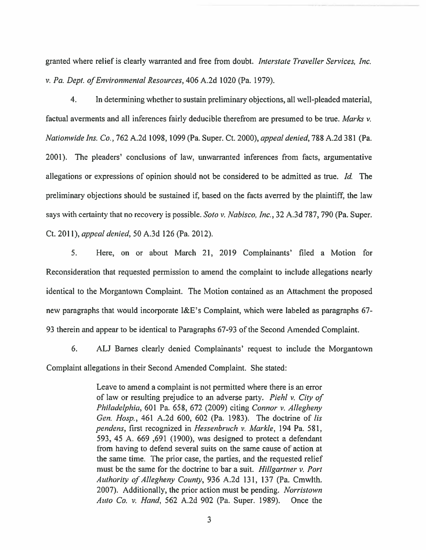granted where relief is clearly warranted and free from doubt. Interstate Traveller Services, Inc. v. Pa. Dept. of Environmental Resources, 406 A.2d 1020 (Pa. 1979).

4. In determining whether to sustain preliminary objections, all well-pleaded material, factual averments and all inferences fairly deducible therefrom are presumed to be true. Marks v. Nationwide Ins. Co., 762 A.2d 1098, 1099 (Pa. Super. Ct. 2000), appeal denied, 788 A.2d 381 (Pa. 2001). The pleaders' conclusions of law, unwarranted inferences from facts, argumentative allegations or expressions of opinion should not be considered to be admitted as true. Id. The preliminary objections should be sustained if, based on the facts averred by the plaintiff, the law says with certainty that no recovery is possible. Soto v. Nabisco, Inc., 32 A.3d 787, 790 (Pa. Super. Ct. 2011), appeal denied, 50 A.3d 126 (Pa. 2012).

5. Here, on or about March 21, 2019 Complainants' filed <sup>a</sup> Motion for Reconsideration that requested permission to amend the complaint to include allegations nearly identical to the Morgantown Complaint. The Motion contained as an Attachment the proposed new paragraphs that would incorporate I&E's Complaint, which were labeled as paragraphs 67- 93 therein and appear to be identical to Paragraphs 67-93 of the Second Amended Complaint.

6. AU Barnes clearly denied Complainants' reques<sup>t</sup> to include the Morgantown Complaint allegations in their Second Amended Complaint. She stated:

> Leave to amend <sup>a</sup> complaint is not permitted where there is an error of law or resulting prejudice to an adverse party. Piehl v. City of Philadelphia, 601 Pa. 658, 672 (2009) citing Connor v. Allegheny Gen. Hosp., 461 A.2d 600, 602 (Pa. 1983). The doctrine of lis pendens, first recognized in Hessenbruch v. Markle, 194 Pa. 581, 593, 45 A. 669 ,691 (1900), was designed to protect <sup>a</sup> defendant from having to defend several suits on the same cause of action at the same time. The prior case, the parties, and the requested relief must be the same for the doctrine to bar a suit. Hillgartner v. Port Authority of Allegheny County, 936 A.2d 131, 137 (Pa. Cmwlth. 2007). Additionally, the prior action must be pending. Norristown Auto Co. v. Hand, 562 A.2d 902 (Pa. Super. 1989). Once the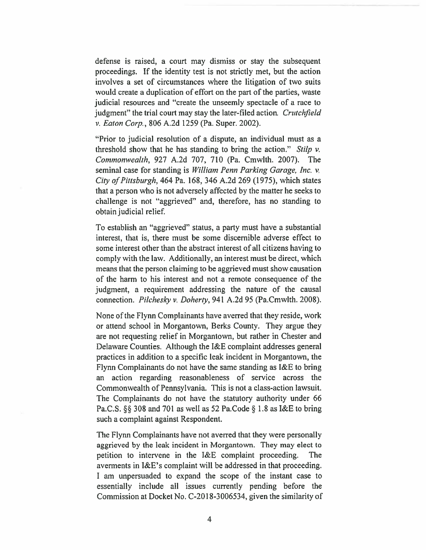defense is raised, <sup>a</sup> court may dismiss or stay the subsequent proceedings. If the identity test is not strictly met, but the action involves <sup>a</sup> set of circumstances where the litigation of two suits would create <sup>a</sup> duplication of effort on the par<sup>t</sup> of the parties, waste judicial resources and "create the unseemly spectacle of <sup>a</sup> race to judgment" the trial court may stay the later-filed action. Crutchfield v. Eaton Corp., 806 A.2d 1259 (Pa. Super. 2002).

"Prior to judicial resolution of <sup>a</sup> dispute, an individual must as <sup>a</sup> threshold show that he has standing to bring the action." Stilp  $\nu$ . Commonwealth, 927 A.2d 707, 710 (Pa. Cmwlth. 2007). The seminal case for standing is William Penn Parking Garage, Inc. v. City of Pittsburgh, 464 Pa. 168, 346 A.2d 269 (1975), which states that <sup>a</sup> person who is not adversely affected by the matter he seeks to challenge is not "aggrieved" and, therefore, has no standing to obtain judicial relief

To establish an "aggrieved" status, <sup>a</sup> party must have <sup>a</sup> substantial interest, that is, there must be some discernible adverse effect to some interest other than the abstract interest of all citizens having to comply with the law. Additionally, an interest must be direct, which means that the person claiming to be aggrieved must show causation of the harm to his interest and not <sup>a</sup> remote consequence of the judgment, <sup>a</sup> requirement addressing the nature of the causal connection. Pilchesky v. Doherty, 941 A.2d 95 (Pa.Cmwlth. 2008).

None of the Flynn Complainants have averred that they reside, work or attend school in Morgantown, Berks County. They argue they are not requesting relief in Morgantown, but rather in Chester and Delaware Counties. Although the I&E complaint addresses general practices in addition to <sup>a</sup> specific leak incident in Morgantown, the Flynn Complainants do not have the same standing as I&E to bring an action regarding reasonableness of service across the Commonwealth of Pennsylvania. This is not <sup>a</sup> class-action lawsuit. The Complainants do not have the statutory authority under 66 Pa.C.S.  $\S$ § 308 and 701 as well as 52 Pa.Code § 1.8 as I&E to bring such <sup>a</sup> complaint against Respondent.

The Flynn Complainants have not averred that they were personally aggrieved by the leak incident in Morgantown. They may elect to petition to intervene in the I&E complaint proceeding. The averments in I&E's complaint will be addressed in that proceeding. I am unpersuaded to expand the scope of the instant case to essentially include all issues currently pending before the Commission at Docket No. C-201 8-3 006534, given the similarity of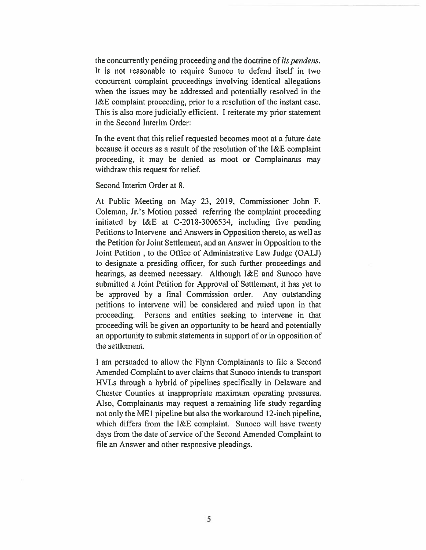the concurrently pending proceeding and the doctrine of *lis pendens*. It is not reasonable to require Sunoco to defend itself in two concurrent complaint proceedings involving identical allegations when the issues may be addressed and potentially resolved in the I&E complaint proceeding, prior to <sup>a</sup> resolution of the instant case. This is also more judicially efficient. I reiterate my prior statement in the Second Interim Order:

In the event that this relief requested becomes moot at <sup>a</sup> future date because it occurs as <sup>a</sup> result of the resolution of the I&E complaint proceeding, it may be denied as moot or Complainants may withdraw this reques<sup>t</sup> for relief.

Second Interim Order at 8.

At Public Meeting on May 23, 2019, Commissioner John F. Coleman, Jr.'s Motion passed referring the complaint proceeding initiated by I&E at C-2018-3006534, including five pending Petitions to Intervene and Answers in Opposition thereto, as well as the Petition for Joint Settlement, and an Answer in Opposition to the Joint Petition , to the Office of Administrative Law Judge (OALJ) to designate <sup>a</sup> presiding officer, for such further proceedings and hearings, as deemed necessary. Although I&E and Sunoco have submitted <sup>a</sup> Joint Petition for Approval of Settlement, it has ye<sup>t</sup> to be approved by <sup>a</sup> final Commission order. Any outstanding petitions to intervene will be considered and ruled upon in that proceeding. Persons and entities seeking to intervene in that proceeding will be given an opportunity to be heard and potentially an opportunity to submit statements in suppor<sup>t</sup> of or in opposition of the settlement.

I am persuaded to allow the Flynn Complainants to file <sup>a</sup> Second Amended Complaint to aver claims that Sunoco intends to transport HVLs through <sup>a</sup> hybrid of pipelines specifically in Delaware and Chester Counties at inappropriate maximum operating pressures. Also, Complainants may reques<sup>t</sup> <sup>a</sup> remaining life study regarding not only the MEl pipeline but also the workaround 12-inch pipeline, which differs from the I&E complaint. Sunoco will have twenty days from the date of service of the Second Amended Complaint to file an Answer and other responsive pleadings.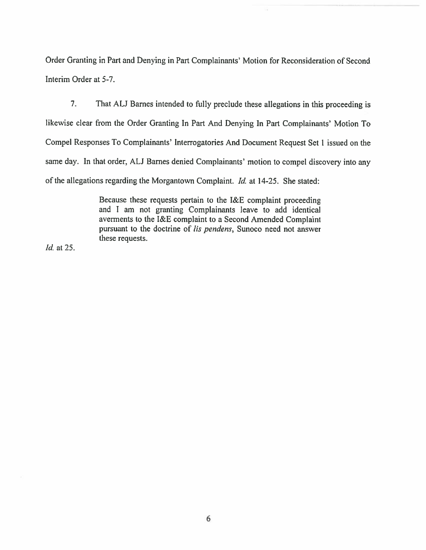Order Granting in Part and Denying in Part Complainants' Motion for Reconsideration of Second Interim Order at 5-7.

7. That AU Barnes intended to fully preclude these allegations in this proceeding is likewise clear from the Order Granting In Part And Denying in Part Complainants' Motion To Compel Responses To Complainants' Interrogatories And Document Request Set <sup>1</sup> issued on the same day. In that order, ALJ Barnes denied Complainants' motion to compel discovery into any of the allegations regarding the Morgantown Complaint. Id. at 14-25. She stated:

> Because these requests pertain to the T&E complaint proceeding and I am not granting Complainants leave to add identical averments to the I&E complaint to <sup>a</sup> Second Amended Complaint pursuant to the doctrine of lis pendens, Sunoco need not answer these requests.

Id. at 25.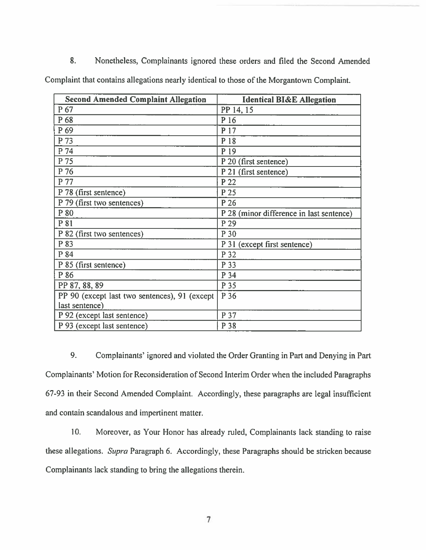8. Monetheless, Complainants ignored these orders and filed the Second Amended Complaint that contains allegations nearly identical to those of the Morgantown Complaint.

| <b>Second Amended Complaint Allegation</b>    | <b>Identical BI&amp;E Allegation</b>     |
|-----------------------------------------------|------------------------------------------|
| P 67                                          | PP 14, 15                                |
| P 68                                          | P 16                                     |
| P 69                                          | P 17                                     |
| P 73                                          | P 18                                     |
| P 74                                          | P 19                                     |
| P 75                                          | P 20 (first sentence)                    |
| P 76                                          | P 21 (first sentence)                    |
| P 77                                          | P 22                                     |
| P 78 (first sentence)                         | P 25                                     |
| P 79 (first two sentences)                    | P 26                                     |
| P 80                                          | P 28 (minor difference in last sentence) |
| P 81                                          | P 29                                     |
| P 82 (first two sentences)                    | P 30                                     |
| P 83                                          | P 31 (except first sentence)             |
| P 84                                          | P 32                                     |
| P 85 (first sentence)                         | P 33                                     |
| P 86                                          | P 34                                     |
| PP 87, 88, 89                                 | P 35                                     |
| PP 90 (except last two sentences), 91 (except | P 36                                     |
| last sentence)                                |                                          |
| P 92 (except last sentence)                   | P 37                                     |
| P 93 (except last sentence)                   | P 38                                     |

9. Complainants' ignored and violated the Order Granting in Part and Denying in Pan Complainants' Motion for Reconsideration of Second Interim Order when the included Paragraphs 67-93 in their Second Amended Complaint. Accordingly, these paragraphs are legal insufficient and contain scandalous and impertinent matter.

10. Moreover, as Your Honor has already ruled, Complainants lack standing to raise these allegations. Supra Paragraph 6. Accordingly, these Paragraphs should be stricken because Complainants lack standing to bring the allegations therein.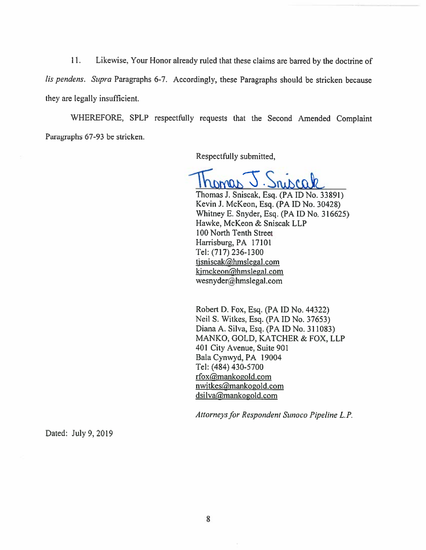11. Likewise. Your Honor already ruled that these claims are barred by the doctrine of lis pendens. Supra Paragraphs 6-7. Accordingly, these Paragraphs should be stricken because they are legally insufficient.

WHEREFORE, SPLP respectfully requests that the Second Amended Complaint Paragraphs 67-93 be stricken.

Respectfully submitted,

Thomas J. Sniscak

Thomas J. Sniscak, Esq. (PA ID No. 33891) Kevin J. McKeon, Esq. (PA ID No. 30428) Whitney E. Snyder, Esq. (PAID No. 316625) Hawke. McKeon & Sniscak LLP 100 North Tenth Street Harrisburg, PA 17101 Tel: (717)236-1300 tjsniscak@hmsleeal.com kjmckeon@hmslegal.com wesnyder@hmslegal.com

Robert D. Fox, Esq. (PA ID No. 44322) Neil S. Witkes, Esq. (PA ID No. 37653) Diana A. Silva, Esq. (PAID No. 311083) MANKO, GOLD, KATCHER & FOX, LLP 401 City Avenue, Suite 901 Bala Cynwyd, PA 19004 Tel: (484) 430-5700 rfox@mankogold.com nwitkes@mankogold.com dsilva@mankogold.com

Attorneys for Respondent Sunoco Pipeline L.P.

Dated: July 9, 2019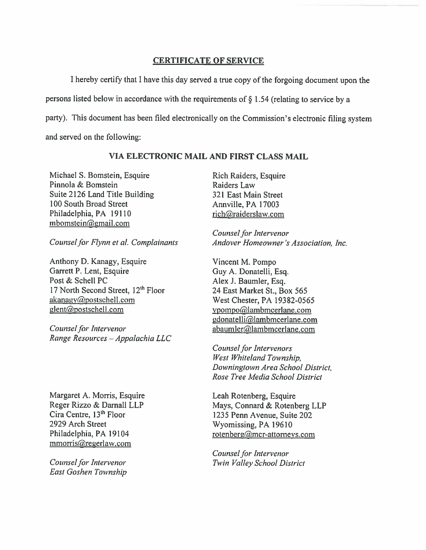# CERTIFICATE OF SERVICE

<sup>I</sup> hereby certify that <sup>I</sup> have this day served <sup>a</sup> true copy of the forgoing document upon the persons listed below in accordance with the requirements of § 1.54 (relating to service by <sup>a</sup> party). This document has been filed electronically on the Commission's electronic filing system and served on the following: **CERTIFICATE OF SERVICE**<br>
I hereby certify that I have this day served a true copy of the for<br>
ersons listed below in accordance with the requirements of § 1.54 (relative).<br>
This document has been filed electronically on t **ERTIFICATE OF SERVICE**<br>
I hereby certify that I have this day served a true copy of the forgoing do<br>
persons listed below in accordance with the requirements of § 1.54 (relating to s<br>
arty). This document has been filed e **CERTIFICATE OF SERVICE**<br>
I hereby certify that I have this day served a true copy of the forgoing does<br>
nersons listed below in accordance with the requirements of § 1.54 (relating to serve<br>
arty). This document has been

### VIA ELECTRONIC MAIL AND FIRST CLASS MAIL

Michael S. Bomstein, Esquire Pinnola & Bomstein Suite 2126 Land Title Building 100 South Broad Street mbomstein@gmail.com

Counsel for Flynn et al. Complainants

Anthony D. Kanagy, Esquire Garrett P. Lent, Esquire Post & Schell PC 17 North Second Street, 12<sup>th</sup> Floor  $akanay@postschell.com$ 

Range Resources — Appalachia LLC

Margaret A. Morris, Esquire Reger Rizzo & Darnall LLP Cira Centre, 13<sup>th</sup> Floor 2929 Arch Street Philadelphia, PA 19104 mmorris@regerlaw.com

Counsel for Intervenor East Goshen Township Rich Raiders, Esquire Raiders Law' 321 East Main Street Annville, PA 17003 rich@raiderslaw.com

Counsel for Intervenor Andover Homeowner 's Association, Inc.

Vincent M. Pompo Guy A. Donatelli, Esq. Alex J. Baumler, Esq. 24 East Market St., Box 565 West Chester, PA 19382-0565 ypompo@lambmcerlane.com gdonatelli@lambmcerlane.com abaumler@lambmcerlane.com

Counsel for Intervenors West Whiteland Township, Downingtown Area School District, Rose Tree Media School District

Leah Rotenberg, Esquire Mays, Connard & Rotenberg LLP 1235 Penn Avenue, Suite 202 Wyomissing, PA 19610 rotenberg@mcr-attorneys.com

Counsel for Intervenor Twin Valley School District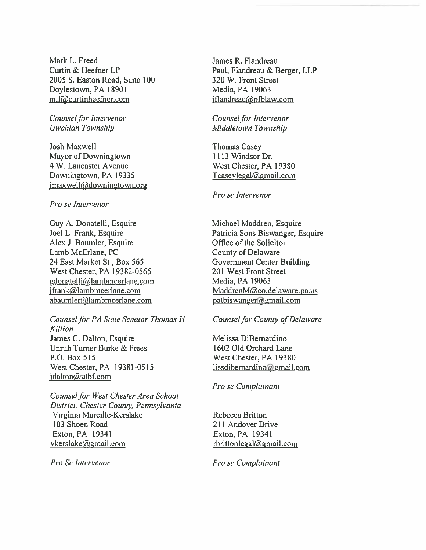Mark L. Freed Curtin & Heefner LP 2005 S. Easton Road, Suite 100 Doylestown, PA 18901 mlf@curtinheefner.com

Counsel for Intervenor Uwchlan Township

Josh Maxwell Mayor of Downingtown 4 W. Lancaster Avenue Downingtown, PA 19335  $j$ maxwell@downingtown.org

### Pro se Intervenor

Guy A. Donatelli, Esquire Joel L. Frank, Esquire Alex J. Baumler, Esquire Lamb McErlane, PC 24 East Market St., Box 565 West Chester, PA 19382-0565 gdonatelli@lambmcerlane.com jfrank@lambmcerlane.com abaumler@lambmcerlane.com

Counsel for PA State Senator Thomas H. Killion James C. Dalton, Esquire Unruh Turner Burke & Frees P.O. Box 515 West Chester, PA 19381-0515  $j$  dalton $@$ utbf.com

Counsel for West Chester Area School District, Chester County, Pennsylvania Virginia Marcille-Kerslake 103 Shoen Road Exton, PA 19341 vkerslake@gmail.com

James R. Flandreau Paul, Flandreau & Berger, LLP 320 W. Front Street Media, PA 19063  $iflandreau@pfblaw.com$ 

Counsel for Intervenor Middletown Township

Thomas Casey 1113 Windsor Dr. West Chester, PA 19380  $Tcaseylegal@gmail.com$ 

Pro se Intervenor

Michael Maddren, Esquire Patricia Sons Biswanger, Esquire Office of the Solicitor County of Delaware Government Center Building 201 West Front Street Media, PA 19063 MaddrenM@co.delaware.pa.us  $patbiswanger(a)gmail.com$ 

#### Counsel for County of Delaware

Melissa DiBemardino 1602 Old Orchard Lane West Chester, PA 19380 lissdibernardino@gmail.com

Pro se Complainant

Rebecca Britton 211 Andover Drive Exton,PA 19341  $r$ brittonlegal@gmail.com

Pro Se Intervenor **Pro Se Complainant**